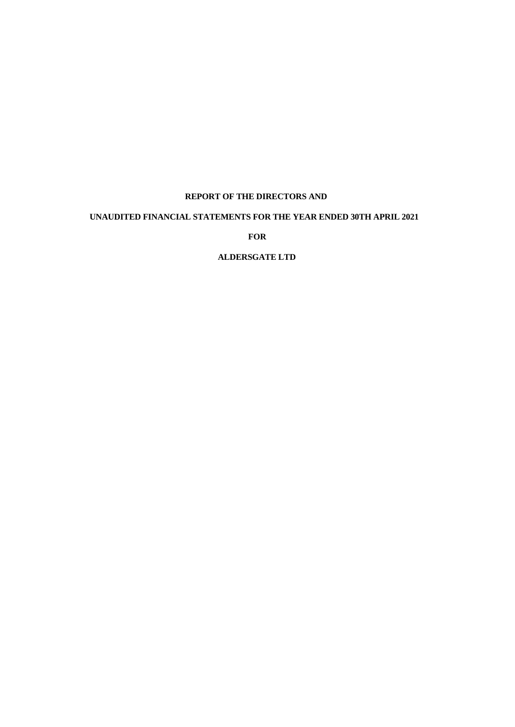# **REPORT OF THE DIRECTORS AND**

# **UNAUDITED FINANCIAL STATEMENTS FOR THE YEAR ENDED 30TH APRIL 2021**

**FOR**

# **ALDERSGATE LTD**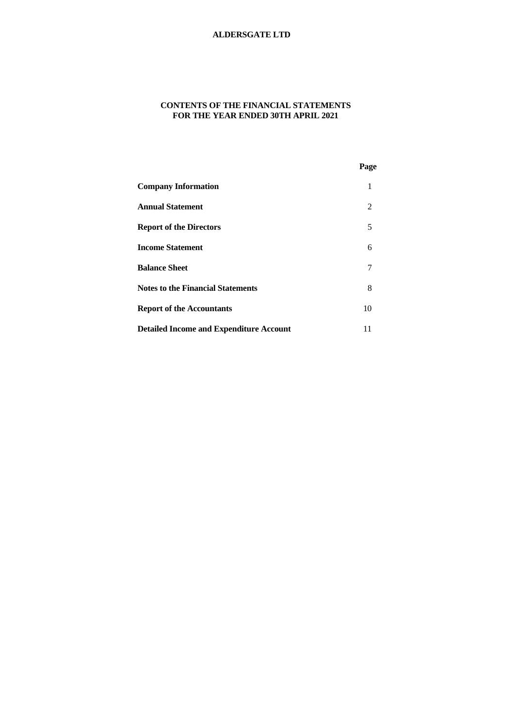# **CONTENTS OF THE FINANCIAL STATEMENTS FOR THE YEAR ENDED 30TH APRIL 2021**

|                                                | Page |  |
|------------------------------------------------|------|--|
| <b>Company Information</b>                     | 1    |  |
| <b>Annual Statement</b>                        | 2    |  |
| <b>Report of the Directors</b>                 | 5    |  |
| <b>Income Statement</b>                        | 6    |  |
| <b>Balance Sheet</b>                           | 7    |  |
| <b>Notes to the Financial Statements</b>       | 8    |  |
| <b>Report of the Accountants</b>               | 10   |  |
| <b>Detailed Income and Expenditure Account</b> | 11   |  |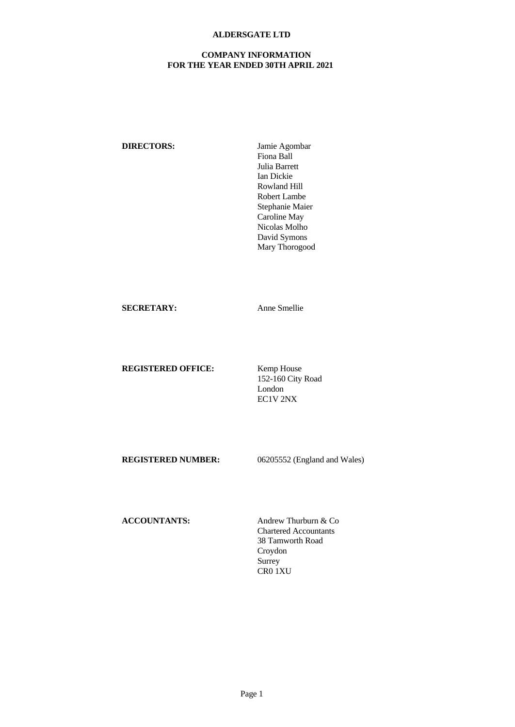## **COMPANY INFORMATION FOR THE YEAR ENDED 30TH APRIL 2021**

**DIRECTORS:** Jamie Agombar Fiona Ball Julia Barrett Ian Dickie Rowland Hill Robert Lambe Stephanie Maier Caroline May Nicolas Molho David Symons Mary Thorogood

**SECRETARY:** Anne Smellie

**REGISTERED OFFICE:** Kemp House

152-160 City Road London EC1V 2NX

**REGISTERED NUMBER:** 06205552 (England and Wales)

**ACCOUNTANTS:** Andrew Thurburn & Co

Chartered Accountants 38 Tamworth Road Croydon Surrey CR0 1XU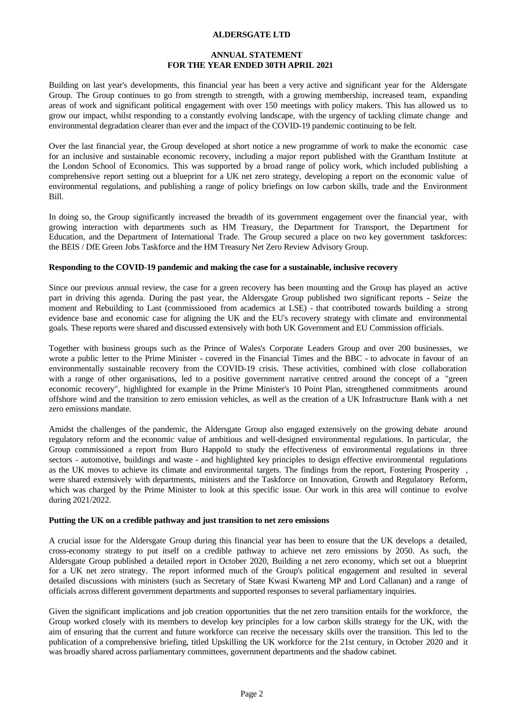### **ANNUAL STATEMENT FOR THE YEAR ENDED 30TH APRIL 2021**

Building on last year's developments, this financial year has been a very active and significant year for the Aldersgate Group. The Group continues to go from strength to strength, with a growing membership, increased team, expanding areas of work and significant political engagement with over 150 meetings with policy makers. This has allowed us to grow our impact, whilst responding to a constantly evolving landscape, with the urgency of tackling climate change and environmental degradation clearer than ever and the impact of the COVID-19 pandemic continuing to be felt.

Over the last financial year, the Group developed at short notice a new programme of work to make the economic case for an inclusive and sustainable economic recovery, including a major report published with the Grantham Institute at the London School of Economics. This was supported by a broad range of policy work, which included publishing a comprehensive report setting out a blueprint for a UK net zero strategy, developing a report on the economic value of environmental regulations, and publishing a range of policy briefings on low carbon skills, trade and the Environment Bill.

In doing so, the Group significantly increased the breadth of its government engagement over the financial year, with growing interaction with departments such as HM Treasury, the Department for Transport, the Department for Education, and the Department of International Trade. The Group secured a place on two key government taskforces: the BEIS / DfE Green Jobs Taskforce and the HM Treasury Net Zero Review Advisory Group.

### **Responding to the COVID-19 pandemic and making the case for a sustainable, inclusive recovery**

Since our previous annual review, the case for a green recovery has been mounting and the Group has played an active part in driving this agenda. During the past year, the Aldersgate Group published two significant reports - Seize the moment and Rebuilding to Last (commissioned from academics at LSE) - that contributed towards building a strong evidence base and economic case for aligning the UK and the EU's recovery strategy with climate and environmental goals. These reports were shared and discussed extensively with both UK Government and EU Commission officials.

Together with business groups such as the Prince of Wales's Corporate Leaders Group and over 200 businesses, we wrote a public letter to the Prime Minister - covered in the Financial Times and the BBC - to advocate in favour of an environmentally sustainable recovery from the COVID-19 crisis. These activities, combined with close collaboration with a range of other organisations, led to a positive government narrative centred around the concept of a "green economic recovery", highlighted for example in the Prime Minister's 10 Point Plan, strengthened commitments around offshore wind and the transition to zero emission vehicles, as well as the creation of a UK Infrastructure Bank with a net zero emissions mandate.

Amidst the challenges of the pandemic, the Aldersgate Group also engaged extensively on the growing debate around regulatory reform and the economic value of ambitious and well-designed environmental regulations. In particular, the Group commissioned a report from Buro Happold to study the effectiveness of environmental regulations in three sectors - automotive, buildings and waste - and highlighted key principles to design effective environmental regulations as the UK moves to achieve its climate and environmental targets. The findings from the report, Fostering Prosperity , were shared extensively with departments, ministers and the Taskforce on Innovation, Growth and Regulatory Reform, which was charged by the Prime Minister to look at this specific issue. Our work in this area will continue to evolve during 2021/2022.

#### **Putting the UK on a credible pathway and just transition to net zero emissions**

A crucial issuefor the Aldersgate Group during this financial year has been to ensure that the UK develops a detailed, cross-economy strategy to put itself on a credible pathway to achieve net zero emissions by 2050. As such, the Aldersgate Group published a detailed report in October 2020, Building a net zero economy, which set out a blueprint for a UK net zero strategy. The report informed much of the Group's political engagement and resulted in several detailed discussions with ministers (such as Secretary of State Kwasi Kwarteng MP and Lord Callanan) and a range of officials across different government departments and supported responses to several parliamentary inquiries.

Given the significant implications and job creation opportunities that the net zero transition entails for the workforce, the Group worked closely with its members to develop key principles for a low carbon skills strategy for the UK, with the aim of ensuring that the current and future workforce can receive the necessary skills over the transition. This led to the publication of a comprehensive briefing, titled Upskilling the UK workforce for the 21st century, in October 2020 and it was broadly shared across parliamentary committees, government departments and the shadow cabinet.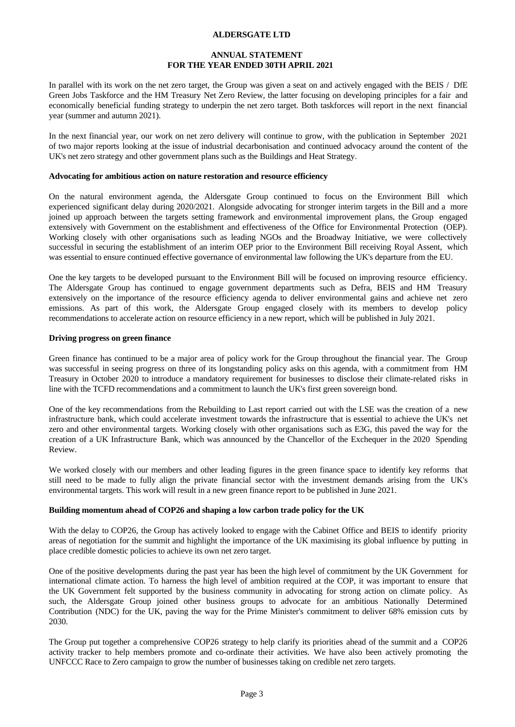### **ANNUAL STATEMENT FOR THE YEAR ENDED 30TH APRIL 2021**

In parallel with its work on the net zero target, the Group was given a seat on and actively engaged with the BEIS / DfE Green Jobs Taskforce and the HM Treasury Net Zero Review, the latter focusing on developing principles for a fair and economically beneficial funding strategy to underpin the net zero target. Both taskforces will report in the next financial year (summer and autumn 2021).

In the next financial year, our work on net zero delivery will continue to grow, with the publication in September 2021 of two major reports looking at the issue of industrial decarbonisation and continued advocacy around the content of the UK's net zero strategy and other government plans such as the Buildings and Heat Strategy.

#### **Advocating for ambitious action on nature restoration and resource efficiency**

On the natural environment agenda, the Aldersgate Group continued to focus on the Environment Bill which experienced significant delay during 2020/2021.Alongside advocating for stronger interim targets in the Bill and a more joined up approach between the targets setting framework and environmental improvement plans, the Group engaged extensively with Government on the establishment and effectiveness of the Office for Environmental Protection (OEP). Working closely with other organisations such as leading NGOs and the Broadway Initiative, we were collectively successful in securing the establishment of an interim OEP prior to the Environment Bill receiving Royal Assent, which was essential to ensure continued effective governance of environmental law following the UK's departure from the EU.

One the key targets to be developed pursuant to the Environment Bill will be focused on improving resource efficiency. The Aldersgate Group has continued to engage government departments such as Defra, BEIS and HM Treasury extensively on the importance of the resource efficiency agenda to deliver environmental gains and achieve net zero emissions. As part of this work, the Aldersgate Group engaged closely with its members to develop policy recommendations to accelerate action on resource efficiency in a new report, which will be published in July 2021.

#### **Driving progress on green finance**

Green finance has continued to be a major area of policy work for the Group throughout the financial year. The Group was successful in seeing progress on three of its longstanding policy asks on this agenda, with a commitment from HM Treasury in October 2020 to introduce a mandatory requirement for businesses to disclose their climate-related risks in line with the TCFD recommendations and a commitment to launch the UK's first green sovereign bond.

One of the key recommendations from the Rebuilding to Last report carried out with the LSE was the creation of a new infrastructure bank, which could accelerate investment towards the infrastructure that is essential to achieve the UK's net zero and other environmental targets. Working closely with other organisations such as E3G, this paved the way for the creation of a UK Infrastructure Bank, which was announced by the Chancellor of the Exchequer in the 2020 Spending Review.

We worked closely with our members and other leading figures in the green finance space to identify key reforms that still need to be made to fully align the private financial sector with the investment demands arising from the UK's environmental targets. This work will result in a new green finance report to be published in June 2021.

#### **Building momentum ahead of COP26 and shaping a low carbon trade policy for the UK**

With the delay to COP26, the Group has actively looked to engage with the Cabinet Office and BEIS to identify priority areas of negotiation for the summit and highlight the importance of the UK maximising its global influence by putting in place credible domestic policies to achieve its own net zero target.

One of the positive developments during the past year has been the high level of commitment by the UK Government for international climate action. To harness the high level of ambition required at the COP, it was important to ensure that the UK Government felt supported by the business community in advocating for strong action on climate policy. As such, the Aldersgate Group joined other business groups to advocate for an ambitious Nationally Determined Contribution (NDC) for the UK, paving the way for the Prime Minister's commitment to deliver 68% emission cuts by 2030.

The Group put together a comprehensive COP26 strategy to help clarify its priorities ahead of the summit and a COP26 activity tracker to help members promote and co-ordinate their activities. We have also been actively promoting the UNFCCC Race to Zero campaign to grow the number of businesses taking on credible net zero targets.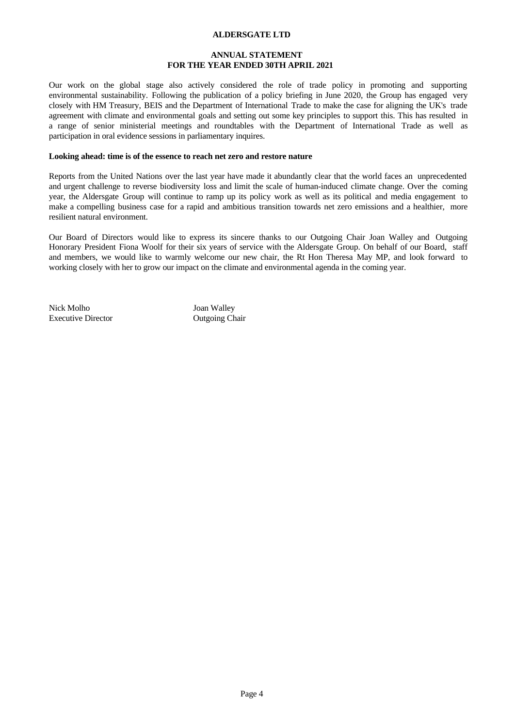### **ANNUAL STATEMENT FOR THE YEAR ENDED 30TH APRIL 2021**

Our work on the global stage also actively considered the role of trade policy in promoting and supporting environmental sustainability. Following the publication of a policy briefing in June 2020, the Group has engaged very closely with HM Treasury, BEIS and the Department of International Trade to make the case for aligning the UK's trade agreement with climate and environmental goals and setting out some key principles to support this. This has resulted in a range of senior ministerial meetings and roundtables with the Department of International Trade as well as participation in oral evidence sessions in parliamentary inquires.

### **Looking ahead: time is of the essence to reach net zero and restore nature**

Reports from the United Nations over the last year have made it abundantly clear that the world faces an unprecedented and urgent challenge to reverse biodiversity loss and limit the scale of human-induced climate change. Over the coming year, the Aldersgate Group will continue to ramp up its policy work as wellas its political and media engagement to make a compelling business case for a rapid and ambitious transition towards net zero emissions and a healthier, more resilient natural environment.

Our Board of Directors would like to express its sincere thanks to our Outgoing Chair Joan Walley and Outgoing Honorary President Fiona Woolf for their six years of service with the Aldersgate Group. On behalf of our Board, staff and members, we would like to warmly welcome our new chair, the Rt Hon Theresa May MP, and look forward to working closely with her to grow our impact on the climate and environmental agenda in the coming year.

Nick Molho Joan Walley Executive Director **Chair** Outgoing Chair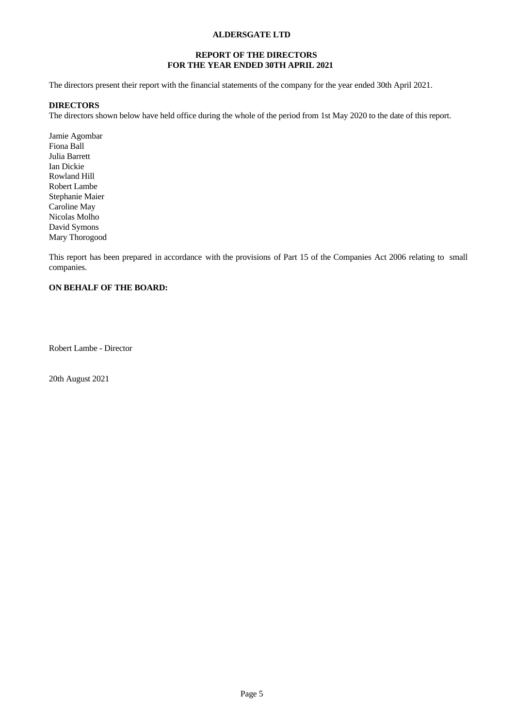## **REPORT OF THE DIRECTORS FOR THE YEAR ENDED 30TH APRIL 2021**

The directors present their report with the financial statements of the company for the year ended 30th April 2021.

## **DIRECTORS**

The directors shown below have held office during the whole of the period from 1st May 2020 to the date of this report.

Jamie Agombar Fiona Ball Julia Barrett Ian Dickie Rowland Hill Robert Lambe Stephanie Maier Caroline May Nicolas Molho David Symons Mary Thorogood

This report has been prepared in accordance with the provisions of Part 15 of the Companies Act 2006 relating to small companies.

# **ON BEHALF OF THE BOARD:**

Robert Lambe - Director

20th August 2021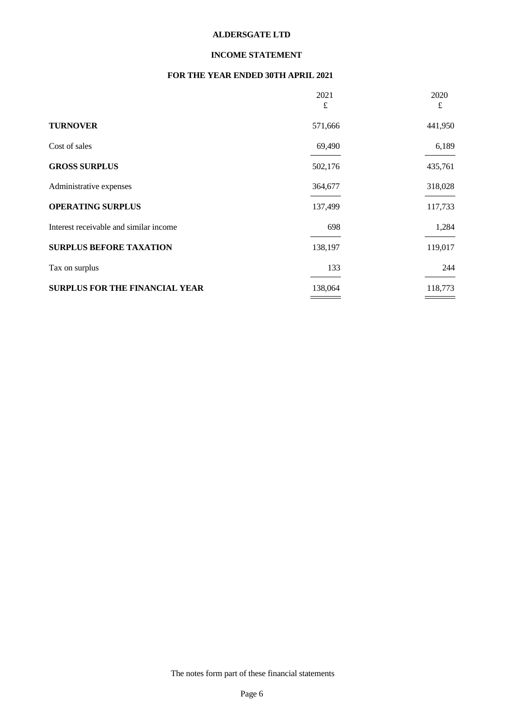## **INCOME STATEMENT**

## **FOR THE YEAR ENDED 30TH APRIL 2021**

|                                        | 2021<br>£ | 2020<br>£ |
|----------------------------------------|-----------|-----------|
| <b>TURNOVER</b>                        | 571,666   | 441,950   |
| Cost of sales                          | 69,490    | 6,189     |
| <b>GROSS SURPLUS</b>                   | 502,176   | 435,761   |
| Administrative expenses                | 364,677   | 318,028   |
| <b>OPERATING SURPLUS</b>               | 137,499   | 117,733   |
| Interest receivable and similar income | 698       | 1,284     |
| <b>SURPLUS BEFORE TAXATION</b>         | 138,197   | 119,017   |
| Tax on surplus                         | 133       | 244       |
| <b>SURPLUS FOR THE FINANCIAL YEAR</b>  | 138,064   | 118,773   |
|                                        |           |           |

The notes form part of these financial statements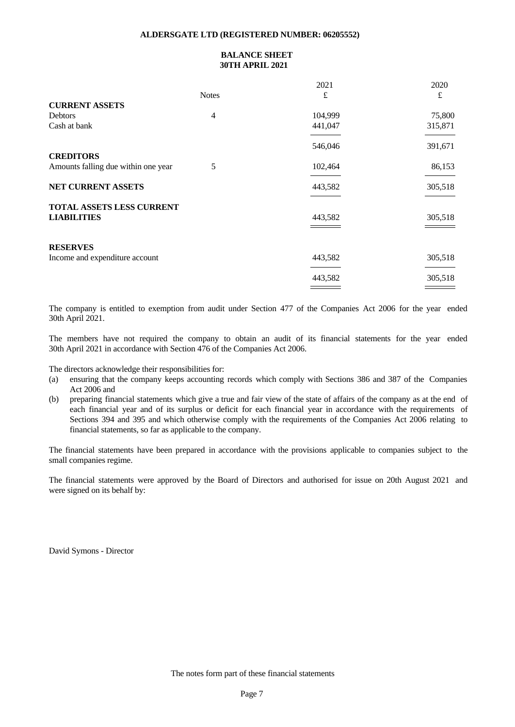### **ALDERSGATE LTD (REGISTERED NUMBER: 06205552)**

# **BALANCE SHEET 30TH APRIL 2021**

|                                     |              | 2021    | 2020    |
|-------------------------------------|--------------|---------|---------|
|                                     | <b>Notes</b> | £       | £       |
| <b>CURRENT ASSETS</b>               |              |         |         |
| <b>Debtors</b>                      | 4            | 104,999 | 75,800  |
| Cash at bank                        |              | 441,047 | 315,871 |
|                                     |              | 546,046 | 391,671 |
| <b>CREDITORS</b>                    |              |         |         |
| Amounts falling due within one year | 5            | 102,464 | 86,153  |
| NET CURRENT ASSETS                  |              | 443,582 | 305,518 |
| TOTAL ASSETS LESS CURRENT           |              |         |         |
| <b>LIABILITIES</b>                  |              | 443,582 | 305,518 |
|                                     |              |         |         |
| <b>RESERVES</b>                     |              |         |         |
| Income and expenditure account      |              | 443,582 | 305,518 |
|                                     |              | 443,582 | 305,518 |
|                                     |              |         |         |

The company is entitled to exemption from audit under Section 477 of the Companies Act 2006 for the year ended 30th April 2021.

The members have not required the company to obtain an audit of its financial statements for the year ended 30th April 2021 in accordance with Section 476 of the Companies Act 2006.

The directors acknowledge their responsibilities for:

- (a) ensuring that the company keeps accounting records which comply with Sections 386 and 387 of the Companies Act 2006 and
- (b) preparing financial statements which give a true and fair view of the state of affairs ofthe company as at the end of each financial year and of its surplus or deficit for each financial year in accordance with the requirements of Sections 394 and 395 and which otherwise comply with the requirements of the Companies Act 2006 relating to financial statements, so far as applicable to the company.

The financial statements have been prepared in accordance with the provisions applicable to companies subject to the small companies regime.

The financial statements were approved by the Board of Directors and authorised for issue on 20th August 2021 and were signed on its behalf by:

David Symons - Director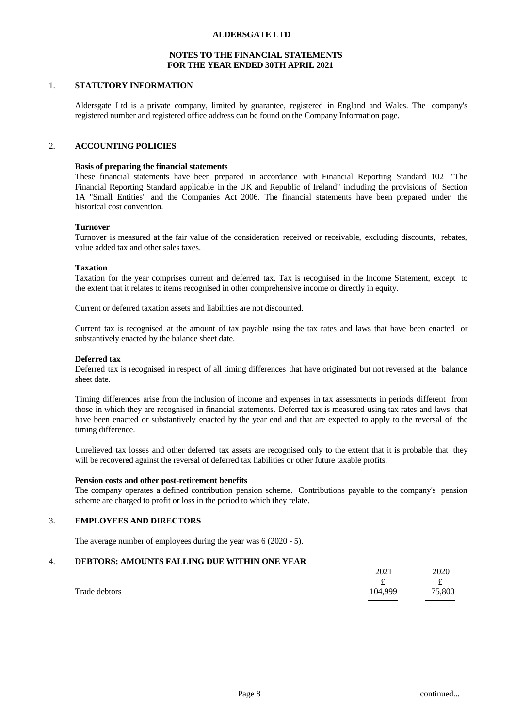### **NOTES TO THE FINANCIAL STATEMENTS FOR THE YEAR ENDED 30TH APRIL 2021**

### 1. **STATUTORY INFORMATION**

Aldersgate Ltd is a private company, limited by guarantee, registered in England and Wales. The company's registered number and registered office address can be found on the Company Information page.

## 2. **ACCOUNTING POLICIES**

#### **Basis of preparing the financial statements**

These financial statements have been prepared in accordance with Financial Reporting Standard 102 "The Financial Reporting Standard applicable in the UK and Republic of Ireland" including the provisions of Section 1A "Small Entities" and the Companies Act 2006. The financial statements have been prepared under the historical cost convention.

#### **Turnover**

Turnover is measured at the fair value of the consideration received or receivable, excluding discounts, rebates, value added tax and other sales taxes.

#### **Taxation**

Taxation for the year comprises current and deferred tax. Tax is recognised in the Income Statement, except to the extent that it relates to items recognised in other comprehensive income or directly in equity.

Current or deferred taxation assets and liabilities are not discounted.

Current tax is recognised at the amount of tax payable using the tax rates and lawsthat have been enacted or substantively enacted by the balance sheet date.

#### **Deferred tax**

Deferred tax is recognised in respect of all timing differences that have originated but not reversed at the balance sheet date.

Timing differences arise from the inclusion of income and expenses in tax assessments in periods different from those in which they are recognised in financial statements. Deferred tax is measured using tax rates and laws that have been enacted or substantively enacted by the yearend and that are expected to apply to the reversal of the timing difference.

Unrelieved tax losses and other deferred tax assets are recognised only to the extentthat it is probable that they will be recovered against the reversal of deferred tax liabilities or other future taxable profits.

### **Pension costs and other post-retirement benefits**

The company operates a defined contribution pension scheme. Contributions payable to the company's pension scheme are charged to profit or loss in the period to which they relate.

### 3. **EMPLOYEES AND DIRECTORS**

The average number of employees during the year was 6 (2020 - 5).

### 4. **DEBTORS: AMOUNTS FALLING DUE WITHIN ONE YEAR**

|               | 2021                                         | 2020   |  |
|---------------|----------------------------------------------|--------|--|
|               | ىم                                           | ىم     |  |
| Trade debtors | 104,999                                      | 75,800 |  |
|               | the control of the control of the control of |        |  |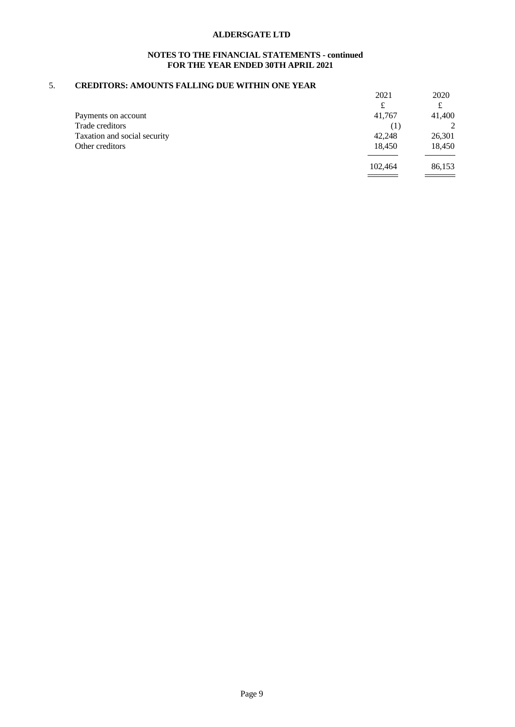## **NOTES TO THE FINANCIAL STATEMENTS - continued FOR THE YEAR ENDED 30TH APRIL 2021**

### 5. **CREDITORS: AMOUNTS FALLING DUE WITHIN ONE YEAR**

|                              | 2021    | 2020   |  |
|------------------------------|---------|--------|--|
|                              | £       | £      |  |
| Payments on account          | 41,767  | 41,400 |  |
| Trade creditors              | (1)     | ↑      |  |
| Taxation and social security | 42,248  | 26,301 |  |
| Other creditors              | 18,450  | 18,450 |  |
|                              | 102,464 | 86,153 |  |
|                              |         |        |  |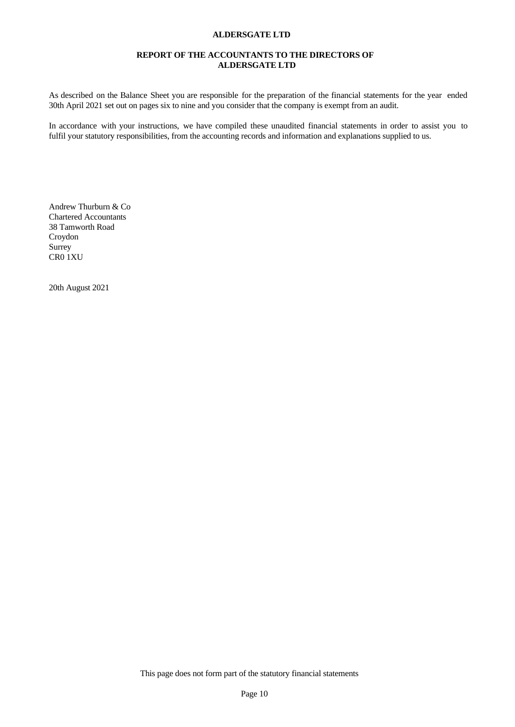## **REPORT OF THE ACCOUNTANTS TO THE DIRECTORS OF ALDERSGATE LTD**

As described on the Balance Sheet you are responsible for the preparation of the financial statements for the year ended 30th April 2021 set out on pages six to nine and you consider that the company is exempt from an audit.

In accordance with your instructions, we have compiled these unaudited financial statements in order to assist you to fulfil your statutory responsibilities, from the accounting records and information and explanations supplied to us.

Andrew Thurburn & Co Chartered Accountants 38 Tamworth Road Croydon Surrey CR0 1XU

20th August 2021